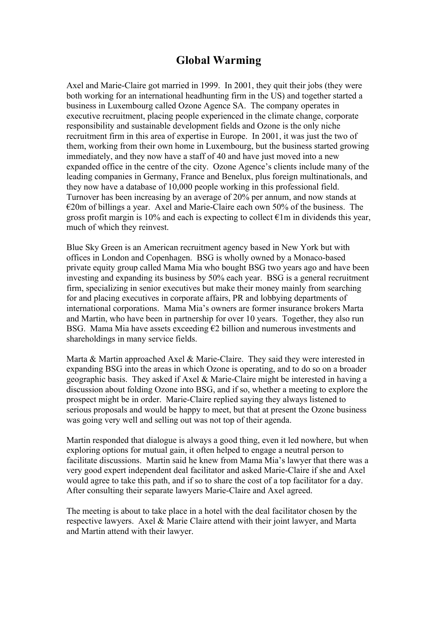# **Global Warming**

Axel and Marie-Claire got married in 1999. In 2001, they quit their jobs (they were both working for an international headhunting firm in the US) and together started a business in Luxembourg called Ozone Agence SA. The company operates in executive recruitment, placing people experienced in the climate change, corporate responsibility and sustainable development fields and Ozone is the only niche recruitment firm in this area of expertise in Europe. In 2001, it was just the two of them, working from their own home in Luxembourg, but the business started growing immediately, and they now have a staff of 40 and have just moved into a new expanded office in the centre of the city. Ozone Agence's clients include many of the leading companies in Germany, France and Benelux, plus foreign multinationals, and they now have a database of 10,000 people working in this professional field. Turnover has been increasing by an average of 20% per annum, and now stands at €20m of billings a year. Axel and Marie-Claire each own 50% of the business. The gross profit margin is 10% and each is expecting to collect  $\epsilon$ 1m in dividends this year, much of which they reinvest.

Blue Sky Green is an American recruitment agency based in New York but with offices in London and Copenhagen. BSG is wholly owned by a Monaco-based private equity group called Mama Mia who bought BSG two years ago and have been investing and expanding its business by 50% each year. BSG is a general recruitment firm, specializing in senior executives but make their money mainly from searching for and placing executives in corporate affairs, PR and lobbying departments of international corporations. Mama Mia's owners are former insurance brokers Marta and Martin, who have been in partnership for over 10 years. Together, they also run BSG. Mama Mia have assets exceeding  $E2$  billion and numerous investments and shareholdings in many service fields.

Marta & Martin approached Axel & Marie-Claire. They said they were interested in expanding BSG into the areas in which Ozone is operating, and to do so on a broader geographic basis. They asked if Axel & Marie-Claire might be interested in having a discussion about folding Ozone into BSG, and if so, whether a meeting to explore the prospect might be in order. Marie-Claire replied saying they always listened to serious proposals and would be happy to meet, but that at present the Ozone business was going very well and selling out was not top of their agenda.

Martin responded that dialogue is always a good thing, even it led nowhere, but when exploring options for mutual gain, it often helped to engage a neutral person to facilitate discussions. Martin said he knew from Mama Mia's lawyer that there was a very good expert independent deal facilitator and asked Marie-Claire if she and Axel would agree to take this path, and if so to share the cost of a top facilitator for a day. After consulting their separate lawyers Marie-Claire and Axel agreed.

The meeting is about to take place in a hotel with the deal facilitator chosen by the respective lawyers. Axel & Marie Claire attend with their joint lawyer, and Marta and Martin attend with their lawyer.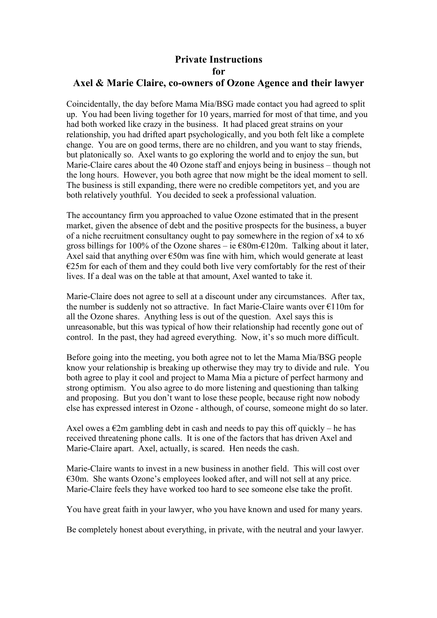# **Private Instructions for**

#### **Axel & Marie Claire, co-owners of Ozone Agence and their lawyer**

Coincidentally, the day before Mama Mia/BSG made contact you had agreed to split up. You had been living together for 10 years, married for most of that time, and you had both worked like crazy in the business. It had placed great strains on your relationship, you had drifted apart psychologically, and you both felt like a complete change. You are on good terms, there are no children, and you want to stay friends, but platonically so. Axel wants to go exploring the world and to enjoy the sun, but Marie-Claire cares about the 40 Ozone staff and enjoys being in business – though not the long hours. However, you both agree that now might be the ideal moment to sell. The business is still expanding, there were no credible competitors yet, and you are both relatively youthful. You decided to seek a professional valuation.

The accountancy firm you approached to value Ozone estimated that in the present market, given the absence of debt and the positive prospects for the business, a buyer of a niche recruitment consultancy ought to pay somewhere in the region of x4 to x6 gross billings for 100% of the Ozone shares – ie  $\epsilon$ 80m- $\epsilon$ 120m. Talking about it later, Axel said that anything over  $\epsilon$ 50m was fine with him, which would generate at least  $E25m$  for each of them and they could both live very comfortably for the rest of their lives. If a deal was on the table at that amount, Axel wanted to take it.

Marie-Claire does not agree to sell at a discount under any circumstances. After tax, the number is suddenly not so attractive. In fact Marie-Claire wants over €110m for all the Ozone shares. Anything less is out of the question. Axel says this is unreasonable, but this was typical of how their relationship had recently gone out of control. In the past, they had agreed everything. Now, it's so much more difficult.

Before going into the meeting, you both agree not to let the Mama Mia/BSG people know your relationship is breaking up otherwise they may try to divide and rule. You both agree to play it cool and project to Mama Mia a picture of perfect harmony and strong optimism. You also agree to do more listening and questioning than talking and proposing. But you don't want to lose these people, because right now nobody else has expressed interest in Ozone - although, of course, someone might do so later.

Axel owes a  $\epsilon$ 2m gambling debt in cash and needs to pay this off quickly – he has received threatening phone calls. It is one of the factors that has driven Axel and Marie-Claire apart. Axel, actually, is scared. Hen needs the cash.

Marie-Claire wants to invest in a new business in another field. This will cost over €30m. She wants Ozone's employees looked after, and will not sell at any price. Marie-Claire feels they have worked too hard to see someone else take the profit.

You have great faith in your lawyer, who you have known and used for many years.

Be completely honest about everything, in private, with the neutral and your lawyer.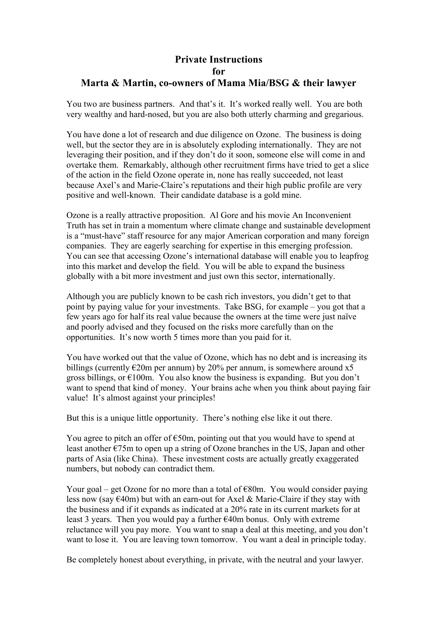### **Private Instructions for Marta & Martin, co-owners of Mama Mia/BSG & their lawyer**

You two are business partners. And that's it. It's worked really well. You are both very wealthy and hard-nosed, but you are also both utterly charming and gregarious.

You have done a lot of research and due diligence on Ozone. The business is doing well, but the sector they are in is absolutely exploding internationally. They are not leveraging their position, and if they don't do it soon, someone else will come in and overtake them. Remarkably, although other recruitment firms have tried to get a slice of the action in the field Ozone operate in, none has really succeeded, not least because Axel's and Marie-Claire's reputations and their high public profile are very positive and well-known. Their candidate database is a gold mine.

Ozone is a really attractive proposition. Al Gore and his movie An Inconvenient Truth has set in train a momentum where climate change and sustainable development is a "must-have" staff resource for any major American corporation and many foreign companies. They are eagerly searching for expertise in this emerging profession. You can see that accessing Ozone's international database will enable you to leapfrog into this market and develop the field. You will be able to expand the business globally with a bit more investment and just own this sector, internationally.

Although you are publicly known to be cash rich investors, you didn't get to that point by paying value for your investments. Take BSG, for example – you got that a few years ago for half its real value because the owners at the time were just naïve and poorly advised and they focused on the risks more carefully than on the opportunities. It's now worth 5 times more than you paid for it.

You have worked out that the value of Ozone, which has no debt and is increasing its billings (currently  $\epsilon$ 20m per annum) by 20% per annum, is somewhere around x5 gross billings, or  $\epsilon$ 100m. You also know the business is expanding. But you don't want to spend that kind of money. Your brains ache when you think about paying fair value! It's almost against your principles!

But this is a unique little opportunity. There's nothing else like it out there.

You agree to pitch an offer of  $\epsilon$ 50m, pointing out that you would have to spend at least another €75m to open up a string of Ozone branches in the US, Japan and other parts of Asia (like China). These investment costs are actually greatly exaggerated numbers, but nobody can contradict them.

Your goal – get Ozone for no more than a total of  $E80m$ . You would consider paying less now (say  $\epsilon$ 40m) but with an earn-out for Axel & Marie-Claire if they stay with the business and if it expands as indicated at a 20% rate in its current markets for at least 3 years. Then you would pay a further  $€40m$  bonus. Only with extreme reluctance will you pay more. You want to snap a deal at this meeting, and you don't want to lose it. You are leaving town tomorrow. You want a deal in principle today.

Be completely honest about everything, in private, with the neutral and your lawyer.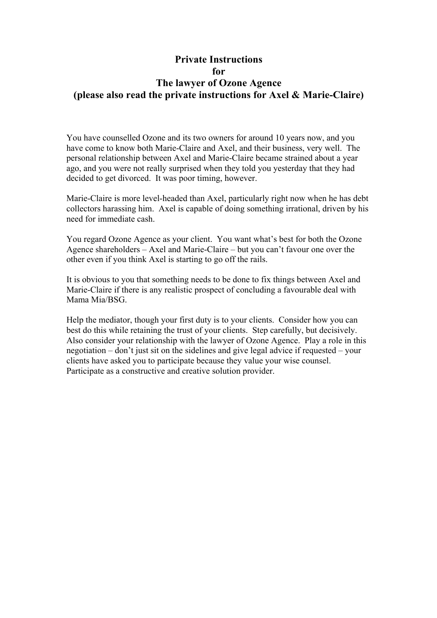#### **Private Instructions for The lawyer of Ozone Agence (please also read the private instructions for Axel & Marie-Claire)**

You have counselled Ozone and its two owners for around 10 years now, and you have come to know both Marie-Claire and Axel, and their business, very well. The personal relationship between Axel and Marie-Claire became strained about a year ago, and you were not really surprised when they told you yesterday that they had decided to get divorced. It was poor timing, however.

Marie-Claire is more level-headed than Axel, particularly right now when he has debt collectors harassing him. Axel is capable of doing something irrational, driven by his need for immediate cash.

You regard Ozone Agence as your client. You want what's best for both the Ozone Agence shareholders – Axel and Marie-Claire – but you can't favour one over the other even if you think Axel is starting to go off the rails.

It is obvious to you that something needs to be done to fix things between Axel and Marie-Claire if there is any realistic prospect of concluding a favourable deal with Mama Mia/BSG.

Help the mediator, though your first duty is to your clients. Consider how you can best do this while retaining the trust of your clients. Step carefully, but decisively. Also consider your relationship with the lawyer of Ozone Agence. Play a role in this negotiation – don't just sit on the sidelines and give legal advice if requested – your clients have asked you to participate because they value your wise counsel. Participate as a constructive and creative solution provider.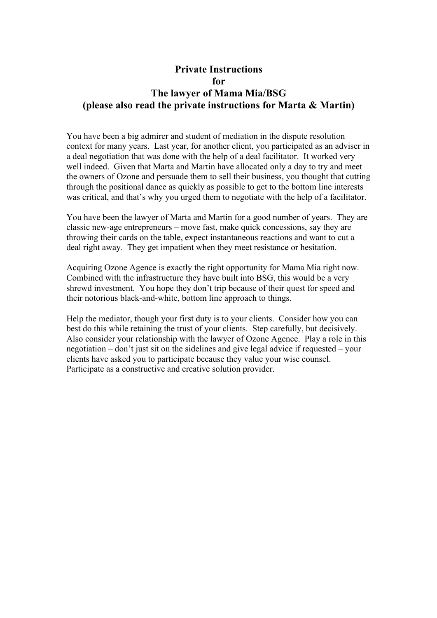## **Private Instructions for The lawyer of Mama Mia/BSG (please also read the private instructions for Marta & Martin)**

You have been a big admirer and student of mediation in the dispute resolution context for many years. Last year, for another client, you participated as an adviser in a deal negotiation that was done with the help of a deal facilitator. It worked very well indeed. Given that Marta and Martin have allocated only a day to try and meet the owners of Ozone and persuade them to sell their business, you thought that cutting through the positional dance as quickly as possible to get to the bottom line interests was critical, and that's why you urged them to negotiate with the help of a facilitator.

You have been the lawyer of Marta and Martin for a good number of years. They are classic new-age entrepreneurs – move fast, make quick concessions, say they are throwing their cards on the table, expect instantaneous reactions and want to cut a deal right away. They get impatient when they meet resistance or hesitation.

Acquiring Ozone Agence is exactly the right opportunity for Mama Mia right now. Combined with the infrastructure they have built into BSG, this would be a very shrewd investment. You hope they don't trip because of their quest for speed and their notorious black-and-white, bottom line approach to things.

Help the mediator, though your first duty is to your clients. Consider how you can best do this while retaining the trust of your clients. Step carefully, but decisively. Also consider your relationship with the lawyer of Ozone Agence. Play a role in this negotiation – don't just sit on the sidelines and give legal advice if requested – your clients have asked you to participate because they value your wise counsel. Participate as a constructive and creative solution provider.